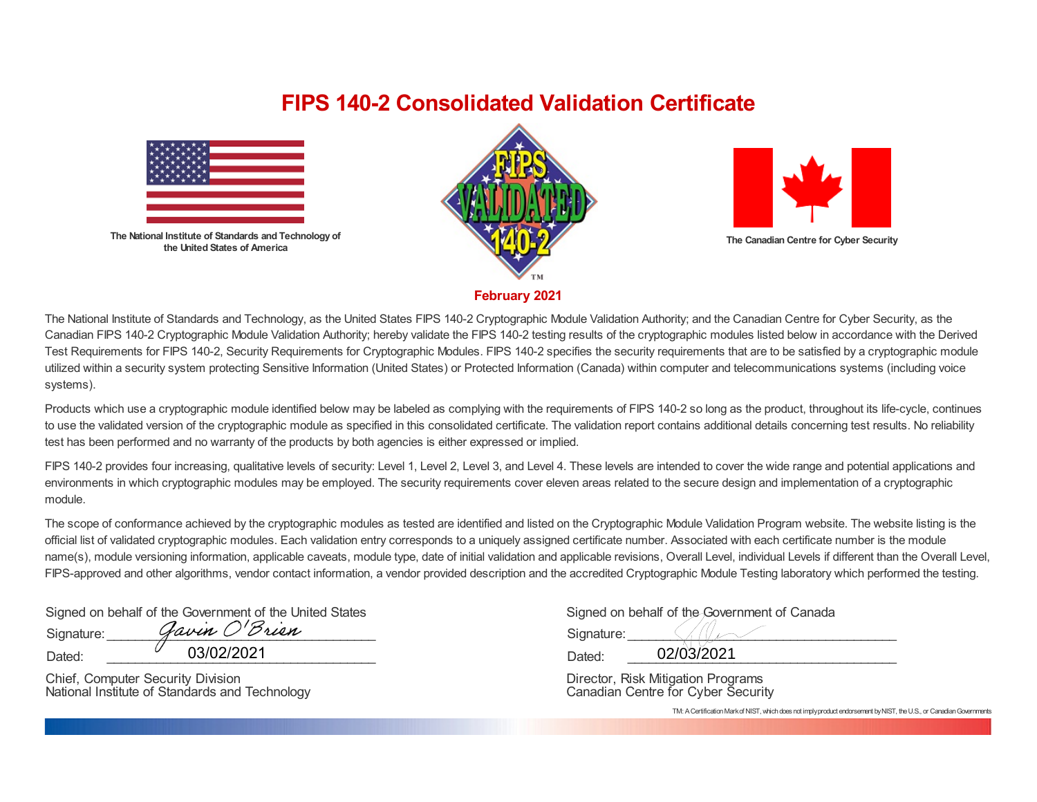## **FIPS 140-2 Consolidated Validation Certificate**



**The National Institute of Standards and Technology of the United States of America**





**The Canadian Centre for Cyber Security**

**February 2021**

The National Institute of Standards and Technology, as the United States FIPS 140-2 Cryptographic Module Validation Authority; and the Canadian Centre for Cyber Security, as the Canadian FIPS 140-2 Cryptographic Module Validation Authority; hereby validate the FIPS 140-2 testing results of the cryptographic modules listed below in accordance with the Derived Test Requirements for FIPS 140-2, Security Requirements for Cryptographic Modules. FIPS 140-2 specifies the security requirements that are to be satisfied by a cryptographic module utilized within a security system protecting Sensitive Information (United States) or Protected Information (Canada) within computer and telecommunications systems (including voice systems).

Products which use a cryptographic module identified below may be labeled as complying with the requirements of FIPS 140-2 so long as the product, throughout its life-cycle, continues to use the validated version of the cryptographic module as specified in this consolidated certificate. The validation report contains additional details concerning test results. No reliability test has been performed and no warranty of the products by both agencies is either expressed or implied.

FIPS 140-2 provides four increasing, qualitative levels of security: Level 1, Level 2, Level 3, and Level 4. These levels are intended to cover the wide range and potential applications and environments in which cryptographic modules may be employed. The security requirements cover eleven areas related to the secure design and implementation of a cryptographic module.

The scope of conformance achieved by the cryptographic modules as tested are identified and listed on the Cryptographic Module Validation Program website. The website listing is the official list of validated cryptographic modules. Each validation entry corresponds to a uniquely assigned certificate number. Associated with each certificate number is the module name(s), module versioning information, applicable caveats, module type, date of initial validation and applicable revisions, Overall Level, individual Levels if different than the Overall Level, FIPS-approved and other algorithms, vendor contact information, a vendor provided description and the accredited Cryptographic Module Testing laboratory which performed the testing.

Signed on behalf of the Government of the United States Signature:  $\mathcal{G}awin \ O'\mathcal{B}rian$ 

Dated: \_\_\_\_\_\_\_\_\_\_\_\_\_\_\_\_\_\_\_\_\_\_\_\_\_\_\_\_\_\_\_\_\_\_\_\_\_\_

Chief, Computer Security Division National Institute of Standards and Technology

| Bovernment of the United States | Signed on behalf of the Government of Canada |
|---------------------------------|----------------------------------------------|
| vin O'Brien                     | Signature:                                   |
| 03/02/2021                      | 02/03/2021<br>Dated:                         |

Director, Risk Mitigation Programs Canadian Centre for Cyber Security

TM: A Certification Mark of NIST, which does not imply product endorsement by NIST, the U.S., or Canadian Governments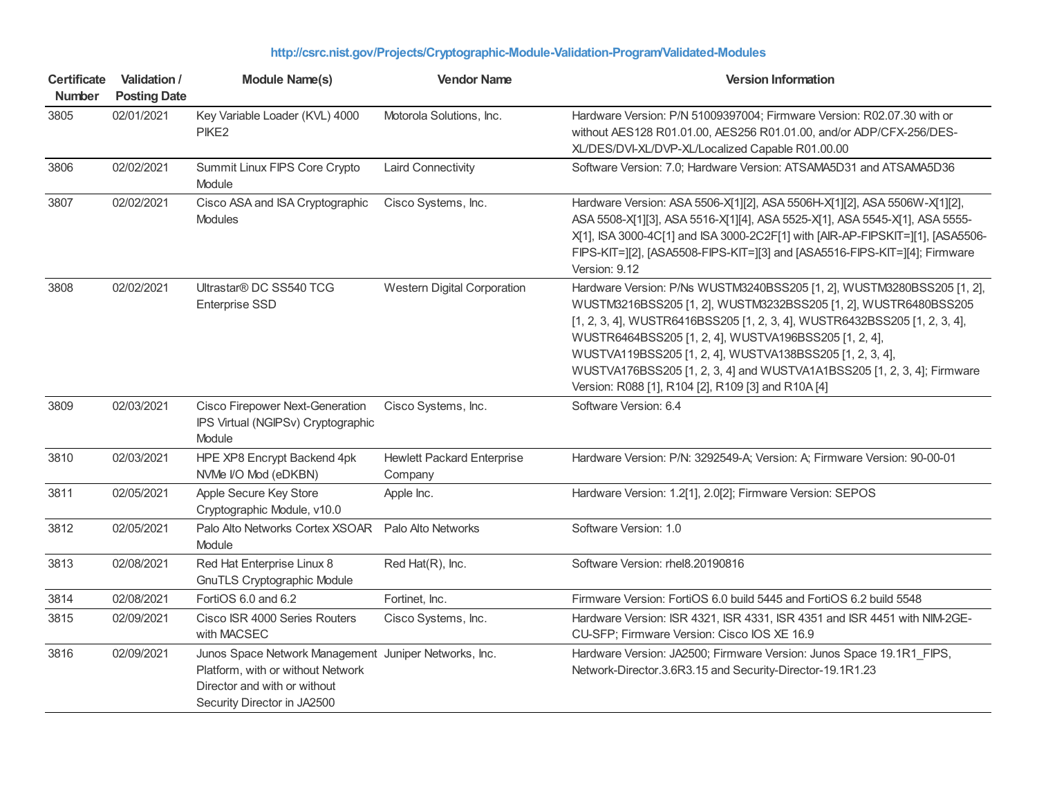| <b>Certificate</b><br>Number | <b>Validation /</b><br><b>Posting Date</b> | <b>Module Name(s)</b>                                                                                                                                     | <b>Vendor Name</b>                           | <b>Version Information</b>                                                                                                                                                                                                                                                                                                                                                                                                                                                   |
|------------------------------|--------------------------------------------|-----------------------------------------------------------------------------------------------------------------------------------------------------------|----------------------------------------------|------------------------------------------------------------------------------------------------------------------------------------------------------------------------------------------------------------------------------------------------------------------------------------------------------------------------------------------------------------------------------------------------------------------------------------------------------------------------------|
| 3805                         | 02/01/2021                                 | Key Variable Loader (KVL) 4000<br>PIKE <sub>2</sub>                                                                                                       | Motorola Solutions, Inc.                     | Hardware Version: P/N 51009397004; Firmware Version: R02.07.30 with or<br>without AES128 R01.01.00, AES256 R01.01.00, and/or ADP/CFX-256/DES-<br>XL/DES/DVI-XL/DVP-XL/Localized Capable R01.00.00                                                                                                                                                                                                                                                                            |
| 3806                         | 02/02/2021                                 | Summit Linux FIPS Core Crypto<br>Module                                                                                                                   | <b>Laird Connectivity</b>                    | Software Version: 7.0; Hardware Version: ATSAMA5D31 and ATSAMA5D36                                                                                                                                                                                                                                                                                                                                                                                                           |
| 3807                         | 02/02/2021                                 | Cisco ASA and ISA Cryptographic<br>Modules                                                                                                                | Cisco Systems, Inc.                          | Hardware Version: ASA 5506-X[1][2], ASA 5506H-X[1][2], ASA 5506W-X[1][2],<br>ASA 5508-X[1][3], ASA 5516-X[1][4], ASA 5525-X[1], ASA 5545-X[1], ASA 5555-<br>X[1], ISA 3000-4C[1] and ISA 3000-2C2F[1] with [AIR-AP-FIPSKIT=][1], [ASA5506-<br>FIPS-KIT=][2], [ASA5508-FIPS-KIT=][3] and [ASA5516-FIPS-KIT=][4]; Firmware<br>Version: 9.12                                                                                                                                    |
| 3808                         | 02/02/2021                                 | Ultrastar <sup>®</sup> DC SS540 TCG<br><b>Enterprise SSD</b>                                                                                              | Western Digital Corporation                  | Hardware Version: P/Ns WUSTM3240BSS205 [1, 2], WUSTM3280BSS205 [1, 2],<br>WUSTM3216BSS205 [1, 2], WUSTM3232BSS205 [1, 2], WUSTR6480BSS205<br>[1, 2, 3, 4], WUSTR6416BSS205 [1, 2, 3, 4], WUSTR6432BSS205 [1, 2, 3, 4],<br>WUSTR6464BSS205 [1, 2, 4], WUSTVA196BSS205 [1, 2, 4],<br>WUSTVA119BSS205 [1, 2, 4], WUSTVA138BSS205 [1, 2, 3, 4],<br>WUSTVA176BSS205 [1, 2, 3, 4] and WUSTVA1A1BSS205 [1, 2, 3, 4]; Firmware<br>Version: R088 [1], R104 [2], R109 [3] and R10A [4] |
| 3809                         | 02/03/2021                                 | Cisco Firepower Next-Generation<br>IPS Virtual (NGIPSv) Cryptographic<br>Module                                                                           | Cisco Systems, Inc.                          | Software Version: 6.4                                                                                                                                                                                                                                                                                                                                                                                                                                                        |
| 3810                         | 02/03/2021                                 | HPE XP8 Encrypt Backend 4pk<br>NVMe I/O Mod (eDKBN)                                                                                                       | <b>Hewlett Packard Enterprise</b><br>Company | Hardware Version: P/N: 3292549-A; Version: A; Firmware Version: 90-00-01                                                                                                                                                                                                                                                                                                                                                                                                     |
| 3811                         | 02/05/2021                                 | Apple Secure Key Store<br>Cryptographic Module, v10.0                                                                                                     | Apple Inc.                                   | Hardware Version: 1.2[1], 2.0[2]; Firmware Version: SEPOS                                                                                                                                                                                                                                                                                                                                                                                                                    |
| 3812                         | 02/05/2021                                 | Palo Alto Networks Cortex XSOAR<br>Module                                                                                                                 | Palo Alto Networks                           | Software Version: 1.0                                                                                                                                                                                                                                                                                                                                                                                                                                                        |
| 3813                         | 02/08/2021                                 | Red Hat Enterprise Linux 8<br><b>GnuTLS Cryptographic Module</b>                                                                                          | Red Hat(R), Inc.                             | Software Version: rhel8.20190816                                                                                                                                                                                                                                                                                                                                                                                                                                             |
| 3814                         | 02/08/2021                                 | FortiOS 6.0 and 6.2                                                                                                                                       | Fortinet, Inc.                               | Firmware Version: FortiOS 6.0 build 5445 and FortiOS 6.2 build 5548                                                                                                                                                                                                                                                                                                                                                                                                          |
| 3815                         | 02/09/2021                                 | Cisco ISR 4000 Series Routers<br>with MACSEC                                                                                                              | Cisco Systems, Inc.                          | Hardware Version: ISR 4321, ISR 4331, ISR 4351 and ISR 4451 with NIM-2GE-<br>CU-SFP; Firmware Version: Cisco IOS XE 16.9                                                                                                                                                                                                                                                                                                                                                     |
| 3816                         | 02/09/2021                                 | Junos Space Network Management Juniper Networks, Inc.<br>Platform, with or without Network<br>Director and with or without<br>Security Director in JA2500 |                                              | Hardware Version: JA2500; Firmware Version: Junos Space 19.1R1_FIPS,<br>Network-Director.3.6R3.15 and Security-Director-19.1R1.23                                                                                                                                                                                                                                                                                                                                            |

## **<http://csrc.nist.gov/Projects/Cryptographic-Module-Validation-Program/Validated-Modules>**